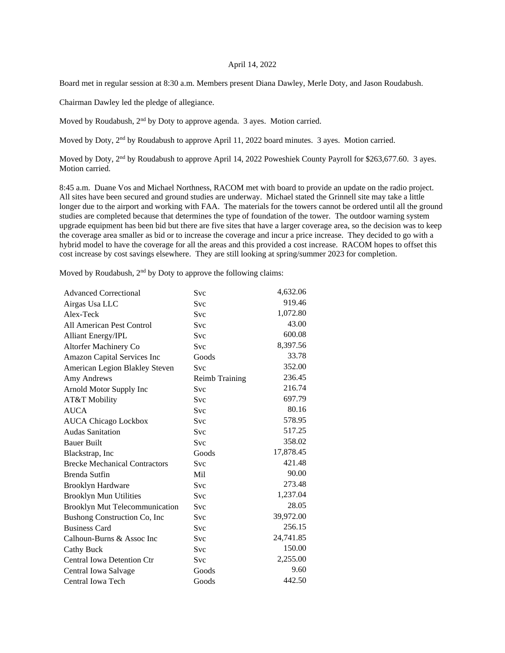## April 14, 2022

Board met in regular session at 8:30 a.m. Members present Diana Dawley, Merle Doty, and Jason Roudabush.

Chairman Dawley led the pledge of allegiance.

Moved by Roudabush, 2<sup>nd</sup> by Doty to approve agenda. 3 ayes. Motion carried.

Moved by Doty, 2<sup>nd</sup> by Roudabush to approve April 11, 2022 board minutes. 3 ayes. Motion carried.

Moved by Doty, 2<sup>nd</sup> by Roudabush to approve April 14, 2022 Poweshiek County Payroll for \$263,677.60. 3 ayes. Motion carried.

8:45 a.m. Duane Vos and Michael Northness, RACOM met with board to provide an update on the radio project. All sites have been secured and ground studies are underway. Michael stated the Grinnell site may take a little longer due to the airport and working with FAA. The materials for the towers cannot be ordered until all the ground studies are completed because that determines the type of foundation of the tower. The outdoor warning system upgrade equipment has been bid but there are five sites that have a larger coverage area, so the decision was to keep the coverage area smaller as bid or to increase the coverage and incur a price increase. They decided to go with a hybrid model to have the coverage for all the areas and this provided a cost increase. RACOM hopes to offset this cost increase by cost savings elsewhere. They are still looking at spring/summer 2023 for completion.

Moved by Roudabush,  $2<sup>nd</sup>$  by Doty to approve the following claims:

| <b>Advanced Correctional</b>         | Svc            | 4,632.06  |
|--------------------------------------|----------------|-----------|
| Airgas Usa LLC                       | Svc            | 919.46    |
| Alex-Teck                            | Svc            | 1,072.80  |
| All American Pest Control            | <b>Svc</b>     | 43.00     |
| <b>Alliant Energy/IPL</b>            | Svc            | 600.08    |
| Altorfer Machinery Co                | Svc            | 8,397.56  |
| Amazon Capital Services Inc          | Goods          | 33.78     |
| American Legion Blakley Steven       | <b>Svc</b>     | 352.00    |
| Amy Andrews                          | Reimb Training | 236.45    |
| Arnold Motor Supply Inc              | Svc            | 216.74    |
| AT&T Mobility                        | <b>Svc</b>     | 697.79    |
| <b>AUCA</b>                          | Svc            | 80.16     |
| <b>AUCA Chicago Lockbox</b>          | Svc            | 578.95    |
| <b>Audas Sanitation</b>              | <b>Svc</b>     | 517.25    |
| <b>Bauer Built</b>                   | <b>Svc</b>     | 358.02    |
| Blackstrap, Inc.                     | Goods          | 17,878.45 |
| <b>Brecke Mechanical Contractors</b> | Svc            | 421.48    |
| Brenda Sutfin                        | Mil            | 90.00     |
| <b>Brooklyn Hardware</b>             | <b>Svc</b>     | 273.48    |
| <b>Brooklyn Mun Utilities</b>        | Svc            | 1,237.04  |
| Brooklyn Mut Telecommunication       | <b>Svc</b>     | 28.05     |
| Bushong Construction Co, Inc         | Svc            | 39,972.00 |
| <b>Business Card</b>                 | Svc            | 256.15    |
| Calhoun-Burns & Assoc Inc            | Svc            | 24,741.85 |
| <b>Cathy Buck</b>                    | <b>Svc</b>     | 150.00    |
| Central Iowa Detention Ctr           | <b>Svc</b>     | 2,255.00  |
| Central Iowa Salvage                 | Goods          | 9.60      |
| Central Iowa Tech                    | Goods          | 442.50    |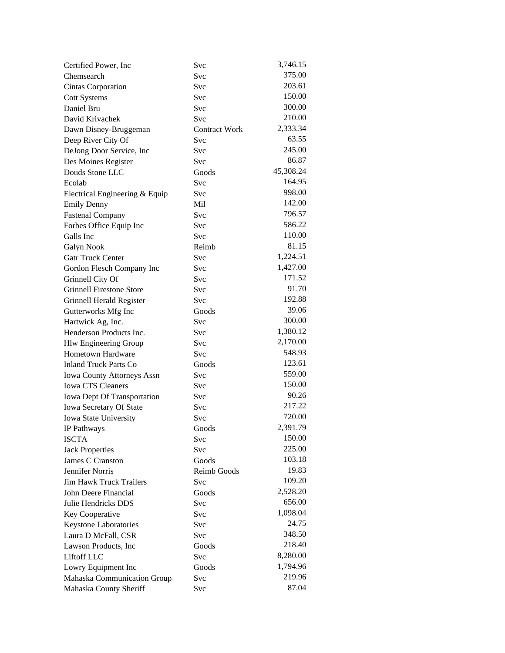| Certified Power, Inc.             | Svc                  | 3,746.15  |
|-----------------------------------|----------------------|-----------|
| Chemsearch                        | Svc                  | 375.00    |
| <b>Cintas Corporation</b>         | <b>Svc</b>           | 203.61    |
| <b>Cott Systems</b>               | Svc                  | 150.00    |
| Daniel Bru                        | Svc                  | 300.00    |
| David Krivachek                   | Svc                  | 210.00    |
| Dawn Disney-Bruggeman             | <b>Contract Work</b> | 2,333.34  |
| Deep River City Of                | Svc                  | 63.55     |
| DeJong Door Service, Inc          | Svc                  | 245.00    |
| Des Moines Register               | Svc                  | 86.87     |
| Douds Stone LLC                   | Goods                | 45,308.24 |
| Ecolab                            | Svc                  | 164.95    |
| Electrical Engineering & Equip    | Svc                  | 998.00    |
| <b>Emily Denny</b>                | Mil                  | 142.00    |
| <b>Fastenal Company</b>           | Svc                  | 796.57    |
| Forbes Office Equip Inc           | Svc                  | 586.22    |
| Galls Inc                         | Svc                  | 110.00    |
| Galyn Nook                        | Reimb                | 81.15     |
| <b>Gatr Truck Center</b>          | Svc                  | 1,224.51  |
| Gordon Flesch Company Inc         | Svc                  | 1,427.00  |
| Grinnell City Of                  | Svc                  | 171.52    |
| <b>Grinnell Firestone Store</b>   | Svc                  | 91.70     |
| Grinnell Herald Register          | Svc                  | 192.88    |
| Gutterworks Mfg Inc               | Goods                | 39.06     |
| Hartwick Ag, Inc.                 | Svc                  | 300.00    |
| Henderson Products Inc.           | Svc                  | 1,380.12  |
| <b>Hlw Engineering Group</b>      | Svc                  | 2,170.00  |
| <b>Hometown Hardware</b>          | Svc                  | 548.93    |
| <b>Inland Truck Parts Co</b>      | Goods                | 123.61    |
| <b>Iowa County Attorneys Assn</b> | Svc                  | 559.00    |
| Iowa CTS Cleaners                 | Svc                  | 150.00    |
| Iowa Dept Of Transportation       | Svc                  | 90.26     |
| Iowa Secretary Of State           | Svc                  | 217.22    |
| Iowa State University             | Svc                  | 720.00    |
| IP Pathways                       | Goods                | 2,391.79  |
| <b>ISCTA</b>                      | Svc                  | 150.00    |
| <b>Jack Properties</b>            | Svc                  | 225.00    |
| James C Cranston                  | Goods                | 103.18    |
| Jennifer Norris                   | Reimb Goods          | 19.83     |
| <b>Jim Hawk Truck Trailers</b>    | Svc                  | 109.20    |
| John Deere Financial              | Goods                | 2,528.20  |
| Julie Hendricks DDS               | Svc                  | 656.00    |
| Key Cooperative                   | Svc                  | 1,098.04  |
| Keystone Laboratories             | <b>Svc</b>           | 24.75     |
| Laura D McFall, CSR               | Svc                  | 348.50    |
| Lawson Products, Inc.             | Goods                | 218.40    |
| Liftoff LLC                       | <b>Svc</b>           | 8,280.00  |
| Lowry Equipment Inc               | Goods                | 1,794.96  |
| Mahaska Communication Group       | Svc                  | 219.96    |
| Mahaska County Sheriff            | Svc                  | 87.04     |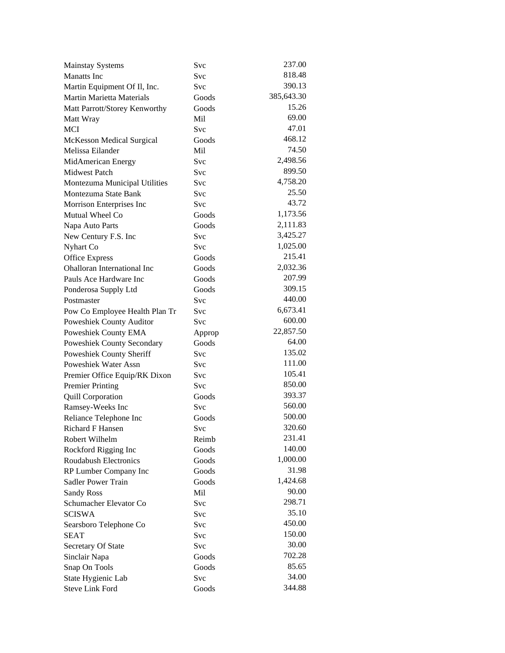| <b>Mainstay Systems</b>                      | Svc        | 237.00     |
|----------------------------------------------|------------|------------|
| <b>Manatts</b> Inc                           | Svc        | 818.48     |
| Martin Equipment Of Il, Inc.                 | Svc        | 390.13     |
| Martin Marietta Materials                    | Goods      | 385,643.30 |
| Matt Parrott/Storey Kenworthy                | Goods      | 15.26      |
| Matt Wray                                    | Mil        | 69.00      |
| <b>MCI</b>                                   | Svc        | 47.01      |
| <b>McKesson Medical Surgical</b>             | Goods      | 468.12     |
| Melissa Eilander                             | Mil        | 74.50      |
| MidAmerican Energy                           | <b>Svc</b> | 2,498.56   |
| <b>Midwest Patch</b>                         | Svc        | 899.50     |
| Montezuma Municipal Utilities                | Svc        | 4,758.20   |
| Montezuma State Bank                         | Svc        | 25.50      |
| Morrison Enterprises Inc                     | Svc        | 43.72      |
| Mutual Wheel Co                              | Goods      | 1,173.56   |
| Napa Auto Parts                              | Goods      | 2,111.83   |
| New Century F.S. Inc                         | Svc        | 3,425.27   |
| Nyhart Co                                    | Svc        | 1,025.00   |
| <b>Office Express</b>                        | Goods      | 215.41     |
| Ohalloran International Inc                  | Goods      | 2,032.36   |
| Pauls Ace Hardware Inc                       | Goods      | 207.99     |
| Ponderosa Supply Ltd                         | Goods      | 309.15     |
| Postmaster                                   | <b>Svc</b> | 440.00     |
| Pow Co Employee Health Plan Tr               | Svc        | 6,673.41   |
| Poweshiek County Auditor                     | Svc        | 600.00     |
| Poweshiek County EMA                         | Approp     | 22,857.50  |
| <b>Poweshiek County Secondary</b>            | Goods      | 64.00      |
| Poweshiek County Sheriff                     | Svc        | 135.02     |
| Poweshiek Water Assn                         | <b>Svc</b> | 111.00     |
| Premier Office Equip/RK Dixon                | <b>Svc</b> | 105.41     |
| <b>Premier Printing</b>                      | Svc        | 850.00     |
|                                              | Goods      | 393.37     |
| <b>Quill Corporation</b><br>Ramsey-Weeks Inc | <b>Svc</b> | 560.00     |
|                                              | Goods      | 500.00     |
| Reliance Telephone Inc<br>Richard F Hansen   |            | 320.60     |
|                                              | Svc        | 231.41     |
| Robert Wilhelm                               | Reimb      | 140.00     |
| Rockford Rigging Inc                         | Goods      | 1,000.00   |
| <b>Roudabush Electronics</b>                 | Goods      | 31.98      |
| RP Lumber Company Inc                        | Goods      | 1,424.68   |
| Sadler Power Train                           | Goods      | 90.00      |
| <b>Sandy Ross</b>                            | Mil        | 298.71     |
| Schumacher Elevator Co                       | Svc        | 35.10      |
| <b>SCISWA</b>                                | Svc        | 450.00     |
| Searsboro Telephone Co                       | Svc        |            |
| <b>SEAT</b>                                  | Svc        | 150.00     |
| Secretary Of State                           | Svc        | 30.00      |
| Sinclair Napa                                | Goods      | 702.28     |
| Snap On Tools                                | Goods      | 85.65      |
| State Hygienic Lab                           | Svc        | 34.00      |
| <b>Steve Link Ford</b>                       | Goods      | 344.88     |